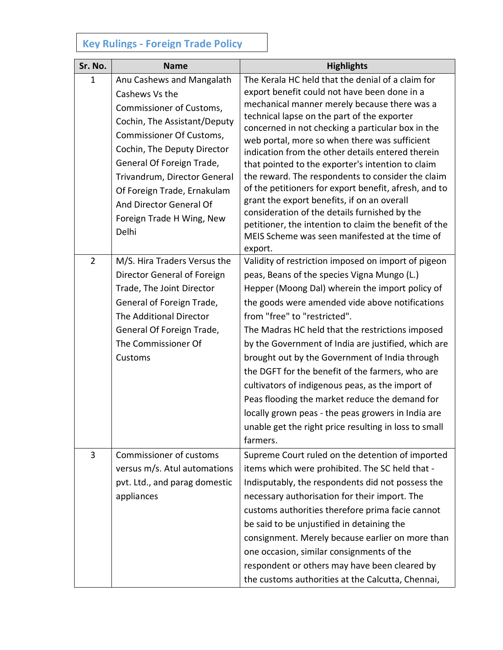## **Key Rulings - Foreign Trade Policy**

| Sr. No.        | <b>Name</b>                                                                                                                                                                                                                                                                                                                     | <b>Highlights</b>                                                                                                                                                                                                                                                                                                                                                                                                                                                                                                                                                                                                                                                                                                                                    |
|----------------|---------------------------------------------------------------------------------------------------------------------------------------------------------------------------------------------------------------------------------------------------------------------------------------------------------------------------------|------------------------------------------------------------------------------------------------------------------------------------------------------------------------------------------------------------------------------------------------------------------------------------------------------------------------------------------------------------------------------------------------------------------------------------------------------------------------------------------------------------------------------------------------------------------------------------------------------------------------------------------------------------------------------------------------------------------------------------------------------|
| $\mathbf{1}$   | Anu Cashews and Mangalath<br>Cashews Vs the<br>Commissioner of Customs,<br>Cochin, The Assistant/Deputy<br>Commissioner Of Customs,<br>Cochin, The Deputy Director<br>General Of Foreign Trade,<br>Trivandrum, Director General<br>Of Foreign Trade, Ernakulam<br>And Director General Of<br>Foreign Trade H Wing, New<br>Delhi | The Kerala HC held that the denial of a claim for<br>export benefit could not have been done in a<br>mechanical manner merely because there was a<br>technical lapse on the part of the exporter<br>concerned in not checking a particular box in the<br>web portal, more so when there was sufficient<br>indication from the other details entered therein<br>that pointed to the exporter's intention to claim<br>the reward. The respondents to consider the claim<br>of the petitioners for export benefit, afresh, and to<br>grant the export benefits, if on an overall<br>consideration of the details furnished by the<br>petitioner, the intention to claim the benefit of the<br>MEIS Scheme was seen manifested at the time of<br>export. |
| $\overline{2}$ | M/S. Hira Traders Versus the<br>Director General of Foreign<br>Trade, The Joint Director<br>General of Foreign Trade,<br>The Additional Director<br>General Of Foreign Trade,<br>The Commissioner Of<br>Customs                                                                                                                 | Validity of restriction imposed on import of pigeon<br>peas, Beans of the species Vigna Mungo (L.)<br>Hepper (Moong Dal) wherein the import policy of<br>the goods were amended vide above notifications<br>from "free" to "restricted".<br>The Madras HC held that the restrictions imposed<br>by the Government of India are justified, which are<br>brought out by the Government of India through<br>the DGFT for the benefit of the farmers, who are<br>cultivators of indigenous peas, as the import of<br>Peas flooding the market reduce the demand for<br>locally grown peas - the peas growers in India are<br>unable get the right price resulting in loss to small<br>farmers.                                                           |
| 3              | <b>Commissioner of customs</b><br>versus m/s. Atul automations<br>pvt. Ltd., and parag domestic<br>appliances                                                                                                                                                                                                                   | Supreme Court ruled on the detention of imported<br>items which were prohibited. The SC held that -<br>Indisputably, the respondents did not possess the<br>necessary authorisation for their import. The<br>customs authorities therefore prima facie cannot<br>be said to be unjustified in detaining the<br>consignment. Merely because earlier on more than<br>one occasion, similar consignments of the<br>respondent or others may have been cleared by<br>the customs authorities at the Calcutta, Chennai,                                                                                                                                                                                                                                   |